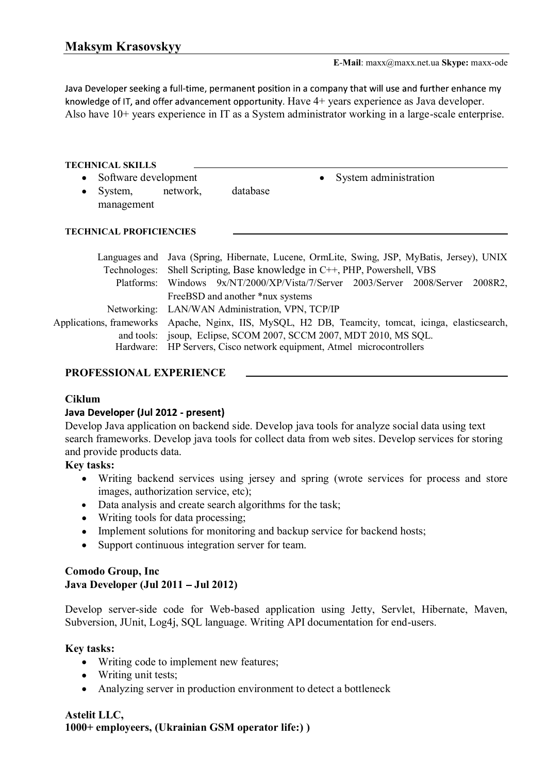# TECHNICAL SKILLS • Software development • System, network, database management • System administration TECHNICAL PROFICIENCIES

|                                   | Java Developer seeking a full-time, permanent position in a company that will use and further enhance my<br>knowledge of IT, and offer advancement opportunity. Have $4+$ years experience as Java developer.<br>Also have 10+ years experience in IT as a System administrator working in a large-scale enterprise. |
|-----------------------------------|----------------------------------------------------------------------------------------------------------------------------------------------------------------------------------------------------------------------------------------------------------------------------------------------------------------------|
| <b>TECHNICAL SKILLS</b>           |                                                                                                                                                                                                                                                                                                                      |
| Software development<br>$\bullet$ | System administration                                                                                                                                                                                                                                                                                                |
| System,<br>٠<br>management        | network,<br>database                                                                                                                                                                                                                                                                                                 |
| <b>TECHNICAL PROFICIENCIES</b>    |                                                                                                                                                                                                                                                                                                                      |
|                                   | Languages and Java (Spring, Hibernate, Lucene, OrmLite, Swing, JSP, MyBatis, Jersey), UNIX                                                                                                                                                                                                                           |
|                                   | Technologes: Shell Scripting, Base knowledge in C++, PHP, Powershell, VBS                                                                                                                                                                                                                                            |
| Platforms:                        | Windows 9x/NT/2000/XP/Vista/7/Server 2003/Server 2008/Server<br>2008R2,                                                                                                                                                                                                                                              |
|                                   | FreeBSD and another *nux systems                                                                                                                                                                                                                                                                                     |
| Networking:                       | LAN/WAN Administration, VPN, TCP/IP                                                                                                                                                                                                                                                                                  |
| Applications, frameworks          | Apache, Nginx, IIS, MySQL, H2 DB, Teamcity, tomcat, icinga, elasticsearch,                                                                                                                                                                                                                                           |
| and tools:                        | jsoup, Eclipse, SCOM 2007, SCCM 2007, MDT 2010, MS SQL.                                                                                                                                                                                                                                                              |
|                                   | HP Servers, Cisco network equipment, Atmel microcontrollers                                                                                                                                                                                                                                                          |

# PROFESSIONAL EXPERIENCE

# Ciklum

### Java Developer (Jul 2012 - present)

Develop Java application on backend side. Develop java tools for analyze social data using text search frameworks. Develop java tools for collect data from web sites. Develop services for storing and provide products data.

### Key tasks:

- Writing backend services using jersey and spring (wrote services for process and store images, authorization service, etc);
- Data analysis and create search algorithms for the task;
- Writing tools for data processing:
- Implement solutions for monitoring and backup service for backend hosts;
- Support continuous integration server for team.

# Comodo Group, Inc Java Developer (Jul  $2011 -$  Jul  $2012$ )

Develop server-side code for Web-based application using Jetty, Servlet, Hibernate, Maven, Subversion, JUnit, Log4j, SQL language. Writing API documentation for end-users.

### Key tasks:

- Writing code to implement new features;
- Writing unit tests;
- Analyzing server in production environment to detect a bottleneck

## Astelit LLC, 1000+ employeers, (Ukrainian GSM operator life:) )